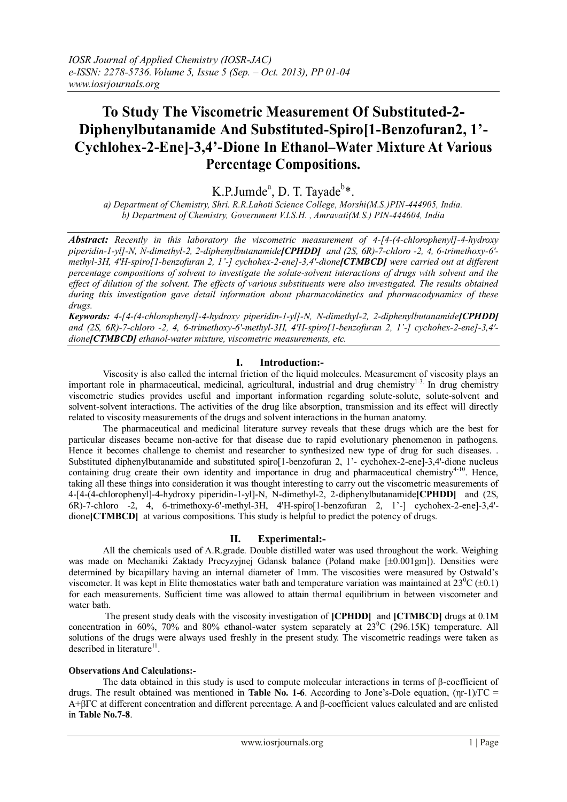# **To Study The Viscometric Measurement Of Substituted-2- Diphenylbutanamide And Substituted-Spiro[1-Benzofuran2, 1'- Cychlohex-2-Ene]-3,4'-Dione In Ethanol–Water Mixture At Various Percentage Compositions.**

K.P.Jumde<sup>a</sup>, D. T. Tayade<sup>b\*</sup>.

*a) Department of Chemistry, Shri. R.R.Lahoti Science College, Morshi(M.S.)PIN-444905, India. b) Department of Chemistry, Government V.I.S.H. , Amravati(M.S.) PIN-444604, India*

*Abstract: Recently in this laboratory the viscometric measurement of 4-[4-(4-chlorophenyl]-4-hydroxy piperidin-1-yl]-N, N-dimethyl-2, 2-diphenylbutanamide[CPHDD] and (2S, 6R)-7-chloro -2, 4, 6-trimethoxy-6' methyl-3H, 4'H-spiro[1-benzofuran 2, 1'-] cychohex-2-ene]-3,4'-dione[CTMBCD] were carried out at different percentage compositions of solvent to investigate the solute-solvent interactions of drugs with solvent and the effect of dilution of the solvent. The effects of various substituents were also investigated. The results obtained during this investigation gave detail information about pharmacokinetics and pharmacodynamics of these drugs.* 

*Keywords: 4-[4-(4-chlorophenyl]-4-hydroxy piperidin-1-yl]-N, N-dimethyl-2, 2-diphenylbutanamide[CPHDD] and (2S, 6R)-7-chloro -2, 4, 6-trimethoxy-6'-methyl-3H, 4'H-spiro[1-benzofuran 2, 1'-] cychohex-2-ene]-3,4' dione[CTMBCD] ethanol-water mixture, viscometric measurements, etc.*

## **I. Introduction:-**

Viscosity is also called the internal friction of the liquid molecules. Measurement of viscosity plays an important role in pharmaceutical, medicinal, agricultural, industrial and drug chemistry<sup>1-3</sup>. In drug chemistry viscometric studies provides useful and important information regarding solute-solute, solute-solvent and solvent-solvent interactions. The activities of the drug like absorption, transmission and its effect will directly related to viscosity measurements of the drugs and solvent interactions in the human anatomy.

The pharmaceutical and medicinal literature survey reveals that these drugs which are the best for particular diseases became non-active for that disease due to rapid evolutionary phenomenon in pathogens. Hence it becomes challenge to chemist and researcher to synthesized new type of drug for such diseases. . Substituted diphenylbutanamide and substituted spiro[1-benzofuran 2, 1'- cychohex-2-ene]-3,4'-dione nucleus containing drug create their own identity and importance in drug and pharmaceutical chemistry<sup>4-10</sup>. Hence, taking all these things into consideration it was thought interesting to carry out the viscometric measurements of 4-[4-(4-chlorophenyl]-4-hydroxy piperidin-1-yl]-N, N-dimethyl-2, 2-diphenylbutanamide**[CPHDD]** and (2S, 6R)-7-chloro -2, 4, 6-trimethoxy-6'-methyl-3H, 4'H-spiro[1-benzofuran 2, 1'-] cychohex-2-ene]-3,4' dione**[CTMBCD]** at various compositions. This study is helpful to predict the potency of drugs.

#### **II. Experimental:-**

All the chemicals used of A.R.grade. Double distilled water was used throughout the work. Weighing was made on Mechaniki Zaktady Precyzyjnej Gdansk balance (Poland make [±0.001gm]). Densities were determined by bicapillary having an internal diameter of 1mm. The viscosities were measured by Ostwald's viscometer. It was kept in Elite themostatics water bath and temperature variation was maintained at  $23^{\circ}C (\pm 0.1)$ for each measurements. Sufficient time was allowed to attain thermal equilibrium in between viscometer and water bath.

The present study deals with the viscosity investigation of **[CPHDD]** and **[CTMBCD]** drugs at 0.1M concentration in 60%, 70% and 80% ethanol-water system separately at  $23^{\circ}$ C (296.15K) temperature. All solutions of the drugs were always used freshly in the present study. The viscometric readings were taken as described in literature<sup>11</sup>.

#### **Observations And Calculations:-**

The data obtained in this study is used to compute molecular interactions in terms of β-coefficient of drugs. The result obtained was mentioned in **Table No. 1-6**. According to Jone's-Dole equation, (ηr-1)/ΓC = A+βΓC at different concentration and different percentage. A and β-coefficient values calculated and are enlisted in **Table No.7-8**.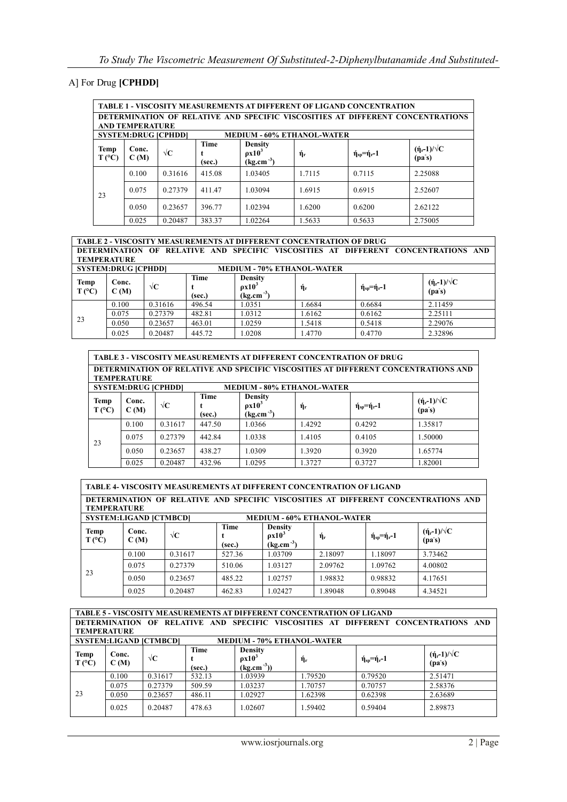# A] For Drug **[CPHDD]**

| <b>TABLE 1 - VISCOSITY MEASUREMENTS AT DIFFERENT OF LIGAND CONCENTRATION</b>   |                            |                     |                |                                                   |                |                                    |                                               |  |  |  |  |
|--------------------------------------------------------------------------------|----------------------------|---------------------|----------------|---------------------------------------------------|----------------|------------------------------------|-----------------------------------------------|--|--|--|--|
| DETERMINATION OF RELATIVE AND SPECIFIC VISCOSITIES AT DIFFERENT CONCENTRATIONS |                            |                     |                |                                                   |                |                                    |                                               |  |  |  |  |
| <b>AND TEMPERATURE</b>                                                         |                            |                     |                |                                                   |                |                                    |                                               |  |  |  |  |
|                                                                                | <b>SYSTEM:DRUG [CPHDD]</b> |                     |                | <b>MEDIUM - 60% ETHANOL-WATER</b>                 |                |                                    |                                               |  |  |  |  |
| Temp<br>$T (^{\circ}C)$                                                        | Conc.<br>C(M)              | $\sqrt{\mathbf{C}}$ | Time<br>(sec.) | <b>Density</b><br>$\rho x 10^3$<br>$(kg.cm^{-3})$ | $\eta_{\rm r}$ | $\eta_{\rm so} = \eta_{\rm r} - 1$ | $(\eta_r - 1)/\sqrt{C}$<br>(pa <sub>s</sub> ) |  |  |  |  |
|                                                                                | 0.100                      | 0.31616             | 415.08         | 1.03405                                           | 1.7115         | 0.7115                             | 2.25088                                       |  |  |  |  |
| 23                                                                             | 0.075                      | 0.27379             | 411.47         | 1.03094                                           | 1.6915         | 0.6915                             | 2.52607                                       |  |  |  |  |
|                                                                                | 0.050                      | 0.23657             | 396.77         | 1.02394                                           | 1.6200         | 0.6200                             | 2.62122                                       |  |  |  |  |
|                                                                                | 0.025                      | 0.20487             | 383.37         | 1.02264                                           | 1.5633         | 0.5633                             | 2.75005                                       |  |  |  |  |

**TABLE 2 - VISCOSITY MEASUREMENTS AT DIFFERENT CONCENTRATION OF DRUG DETERMINATION OF RELATIVE AND SPECIFIC VISCOSITIES AT DIFFERENT CONCENTRATIONS AND TEMPERATURE**

| <b>SYSTEM:DRUG [CPHDD]</b> |               |                     |                | <b>MEDIUM - 70% ETHANOL-WATER</b>                 |        |                                      |                                           |  |  |
|----------------------------|---------------|---------------------|----------------|---------------------------------------------------|--------|--------------------------------------|-------------------------------------------|--|--|
| Temp<br>T(C)               | Conc.<br>C(M) | $\sqrt{\mathbf{C}}$ | Time<br>(sec.) | <b>Density</b><br>$\rho x 10^3$<br>$(kg.cm^{-3})$ | ή,     | $\eta_{\rm{sp}} = \eta_{\rm{r}} - 1$ | $(\eta_r-1)/\sqrt{C}$<br>(pa <sub>s</sub> |  |  |
|                            | 0.100         | 0.31616             | 496.54         | 0.0351                                            | .6684  | 0.6684                               | 2.11459                                   |  |  |
|                            | 0.075         | 0.27379             | 482.81         | .0312                                             | .6162  | 0.6162                               | 2.25111                                   |  |  |
| 23                         | 0.050         | 0.23657             | 463.01         | .0259                                             | 1.5418 | 0.5418                               | 2.29076                                   |  |  |
|                            | 0.025         | 0.20487             | 445.72         | .0208                                             | .4770  | 0.4770                               | 2.32896                                   |  |  |

|                         | <b>TABLE 3 - VISCOSITY MEASUREMENTS AT DIFFERENT CONCENTRATION OF DRUG</b><br>DETERMINATION OF RELATIVE AND SPECIFIC VISCOSITIES AT DIFFERENT CONCENTRATIONS AND<br>TEMPERATURE |                     |                |                                                   |                                   |                        |                                 |  |  |
|-------------------------|---------------------------------------------------------------------------------------------------------------------------------------------------------------------------------|---------------------|----------------|---------------------------------------------------|-----------------------------------|------------------------|---------------------------------|--|--|
|                         | <b>SYSTEM:DRUG [CPHDD]</b>                                                                                                                                                      |                     |                |                                                   | <b>MEDIUM - 80% ETHANOL-WATER</b> |                        |                                 |  |  |
| Temp<br>$T (^{\circ}C)$ | Conc.<br>C(M)                                                                                                                                                                   | $\sqrt{\mathbf{C}}$ | Time<br>(sec.) | <b>Density</b><br>$\rho x 10^3$<br>$(kg.cm^{-3})$ | $\acute{\eta}_r$                  | $\eta_{sp} = \eta - 1$ | $(\eta_r-1)/\sqrt{C}$<br>(pa's) |  |  |
|                         | 0.100                                                                                                                                                                           | 0.31617             | 447.50         | 1.0366                                            | 1.4292                            | 0.4292                 | 1.35817                         |  |  |
| 23                      | 0.075                                                                                                                                                                           | 0.27379             | 442.84         | 1.0338                                            | 1.4105                            | 0.4105                 | 1.50000                         |  |  |
|                         | 0.050                                                                                                                                                                           | 0.23657             | 438.27         | 1.0309                                            | 1.3920                            | 0.3920                 | 1.65774                         |  |  |
|                         | 0.025                                                                                                                                                                           | 0.20487             | 432.96         | 1.0295                                            | 1.3727                            | 0.3727                 | 1.82001                         |  |  |

| <b>TABLE 4- VISCOSITY MEASUREMENTS AT DIFFERENT CONCENTRATION OF LIGAND</b><br>DETERMINATION OF RELATIVE AND SPECIFIC VISCOSITIES AT DIFFERENT CONCENTRATIONS AND<br><b>TEMPERATURE</b> |                               |            |                |                                                          |         |                        |                                 |  |  |  |
|-----------------------------------------------------------------------------------------------------------------------------------------------------------------------------------------|-------------------------------|------------|----------------|----------------------------------------------------------|---------|------------------------|---------------------------------|--|--|--|
|                                                                                                                                                                                         | <b>SYSTEM:LIGAND [CTMBCD]</b> |            |                | <b>MEDIUM - 60% ETHANOL-WATER</b>                        |         |                        |                                 |  |  |  |
| <b>Temp</b><br>$T (^{\circ}C)$                                                                                                                                                          | Conc.<br>C(M)                 | $\sqrt{C}$ | Time<br>(sec.) | <b>Density</b><br>$\rho x 10^3$<br>$\text{(kg.cm}^{-3})$ | ήŗ      | $\eta_{sp} = \eta - 1$ | $(\eta_r-1)/\sqrt{C}$<br>(pa's) |  |  |  |
|                                                                                                                                                                                         | 0.100                         | 0.31617    | 527.36         | 1.03709                                                  | 2.18097 | 1.18097                | 3.73462                         |  |  |  |
|                                                                                                                                                                                         | 0.075                         | 0.27379    | 510.06         | 1.03127                                                  | 2.09762 | 1.09762                | 4.00802                         |  |  |  |
| 23                                                                                                                                                                                      | 0.050                         | 0.23657    | 485.22         | 1.02757                                                  | 1.98832 | 0.98832                | 4.17651                         |  |  |  |
|                                                                                                                                                                                         | 0.025                         | 0.20487    | 462.83         | 1.02427                                                  | 1.89048 | 0.89048                | 4.34521                         |  |  |  |

**TABLE 5 - VISCOSITY MEASUREMENTS AT DIFFERENT CONCENTRATION OF LIGAND DETERMINATION OF RELATIVE AND SPECIFIC VISCOSITIES AT DIFFERENT CONCENTRATIONS AND TEMPERATURE**

| <b>SYSTEM:LIGAND [CTMBCD]</b> |               |                     |                | <b>MEDIUM - 70% ETHANOL-WATER</b>                 |                |                            |                                           |  |  |
|-------------------------------|---------------|---------------------|----------------|---------------------------------------------------|----------------|----------------------------|-------------------------------------------|--|--|
| Temp<br>$T (^{\circ}C)$       | Conc.<br>C(M) | $\sqrt{\mathbf{C}}$ | Time<br>(sec.) | <b>Density</b><br>$\rho x 10^3$<br>$(kg.cm^{-3})$ | ή <sub>r</sub> | $\eta_{sp} = \eta_{r} - 1$ | $(\eta_r-1)/\sqrt{C}$<br>(pa <sub>s</sub> |  |  |
|                               | 0.100         | 0.31617             | 532.13         | 1.03939                                           | 1.79520        | 0.79520                    | 2.51471                                   |  |  |
|                               | 0.075         | 0.27379             | 509.59         | 1.03237                                           | 1.70757        | 0.70757                    | 2.58376                                   |  |  |
| 23                            | 0.050         | 0.23657             | 486.11         | 1.02927                                           | 1.62398        | 0.62398                    | 2.63689                                   |  |  |
|                               | 0.025         | 0.20487             | 478.63         | 1.02607                                           | 1.59402        | 0.59404                    | 2.89873                                   |  |  |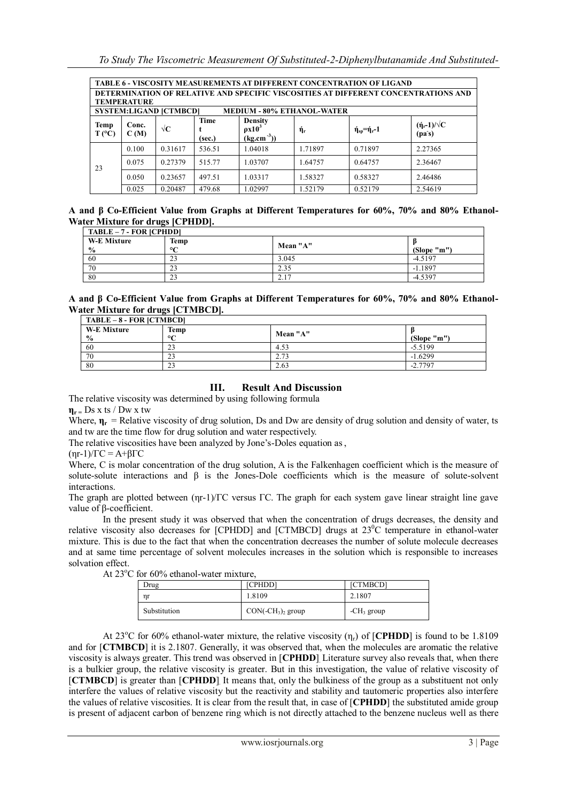| <b>TABLE 6 - VISCOSITY MEASUREMENTS AT DIFFERENT CONCENTRATION OF LIGAND</b>       |                    |                               |                |                                                           |         |                        |                                 |  |  |  |  |
|------------------------------------------------------------------------------------|--------------------|-------------------------------|----------------|-----------------------------------------------------------|---------|------------------------|---------------------------------|--|--|--|--|
| DETERMINATION OF RELATIVE AND SPECIFIC VISCOSITIES AT DIFFERENT CONCENTRATIONS AND |                    |                               |                |                                                           |         |                        |                                 |  |  |  |  |
|                                                                                    | <b>TEMPERATURE</b> |                               |                |                                                           |         |                        |                                 |  |  |  |  |
|                                                                                    |                    | <b>SYSTEM:LIGAND [CTMBCD]</b> |                | <b>MEDIUM - 80% ETHANOL-WATER</b>                         |         |                        |                                 |  |  |  |  |
| <b>Temp</b><br>$T (^{\circ}C)$                                                     | Conc.<br>C(M)      | $\sqrt{\mathbf{C}}$           | Time<br>(sec.) | <b>Density</b><br>$\rho x 10^3$<br>$(\text{kg.cm}^{-3}))$ | ή,      | $\eta_{sp} = \eta - 1$ | $(\eta_r-1)/\sqrt{C}$<br>(pa's) |  |  |  |  |
|                                                                                    | 0.100              | 0.31617                       | 536.51         | 1.04018                                                   | 1.71897 | 0.71897                | 2.27365                         |  |  |  |  |
| 23                                                                                 | 0.075              | 0.27379                       | 515.77         | 1.03707                                                   | 1.64757 | 0.64757                | 2.36467                         |  |  |  |  |
|                                                                                    | 0.050              | 0.23657                       | 497.51         | 1.03317                                                   | 1.58327 | 0.58327                | 2.46486                         |  |  |  |  |
|                                                                                    | 0.025              | 0.20487                       | 479.68         | 1.02997                                                   | 1.52179 | 0.52179                | 2.54619                         |  |  |  |  |

|                                  |  |  | A and β Co-Efficient Value from Graphs at Different Temperatures for 60%, 70% and 80% Ethanol- |  |  |  |
|----------------------------------|--|--|------------------------------------------------------------------------------------------------|--|--|--|
| Water Mixture for drugs [CPHDD]. |  |  |                                                                                                |  |  |  |

| TABLE – 7 - FOR [CPHDD]             |                        |          |             |  |  |  |  |  |  |
|-------------------------------------|------------------------|----------|-------------|--|--|--|--|--|--|
| <b>W-E Mixture</b><br>$\frac{0}{0}$ | Temp<br>$\circ$ $\sim$ | Mean "A" | (Slope "m") |  |  |  |  |  |  |
| 60                                  | $\sim$                 | 3.045    | $-4.5197$   |  |  |  |  |  |  |
| 70                                  | $\sim$                 | 2.35     | $-1.1897$   |  |  |  |  |  |  |
| 80                                  | $\mathcal{L}$          | 2.17     | $-4.5397$   |  |  |  |  |  |  |

**A and β Co-Efficient Value from Graphs at Different Temperatures for 60%, 70% and 80% Ethanol-Water Mixture for drugs [CTMBCD].**

| $TABLE - 8 - FOR [CTMBCD]$          |                 |          |             |  |  |  |  |  |  |
|-------------------------------------|-----------------|----------|-------------|--|--|--|--|--|--|
| <b>W-E Mixture</b><br>$\frac{0}{0}$ | Temp<br>$\circ$ | Mean "A" | (Slope "m") |  |  |  |  |  |  |
| 60                                  | 23              | 4.53     | $-5.5199$   |  |  |  |  |  |  |
| 70                                  | 23              | 2.73     | $-1.6299$   |  |  |  |  |  |  |
| -80                                 | 23              | 2.63     | $-2.7797$   |  |  |  |  |  |  |

## **III. Result And Discussion**

The relative viscosity was determined by using following formula

**ηr =** Ds x ts / Dw x tw

Where, **η**<sub>**r**</sub> = Relative viscosity of drug solution, Ds and Dw are density of drug solution and density of water, ts and tw are the time flow for drug solution and water respectively.

The relative viscosities have been analyzed by Jone's-Doles equation as,

 $(nr-1)/\Gamma$ C = A+β $\Gamma$ C

Where, C is molar concentration of the drug solution, A is the Falkenhagen coefficient which is the measure of solute-solute interactions and β is the Jones-Dole coefficients which is the measure of solute-solvent interactions.

The graph are plotted between (ηr-1)/ΓC versus ΓC. The graph for each system gave linear straight line gave value of β-coefficient.

In the present study it was observed that when the concentration of drugs decreases, the density and relative viscosity also decreases for [CPHDD] and [CTMBCD] drugs at  $23^{\circ}$ C temperature in ethanol-water mixture. This is due to the fact that when the concentration decreases the number of solute molecule decreases and at same time percentage of solvent molecules increases in the solution which is responsible to increases solvation effect.

At  $23^{\circ}$ C for 60% ethanol-water mixture.

| Drug         | [CPHDD]              | [CTMBCD]     |  |  |  |  |  |
|--------------|----------------------|--------------|--|--|--|--|--|
| nr           | 1.8109               | 2.1807       |  |  |  |  |  |
| Substitution | $CON(-CH_3)_2$ group | $-CH3$ group |  |  |  |  |  |

At 23<sup>o</sup>C for 60% ethanol-water mixture, the relative viscosity (ηr) of [**CPHDD**] is found to be 1.8109 and for [**CTMBCD**] it is 2.1807. Generally, it was observed that, when the molecules are aromatic the relative viscosity is always greater. This trend was observed in [**CPHDD**]. Literature survey also reveals that, when there is a bulkier group, the relative viscosity is greater. But in this investigation, the value of relative viscosity of [**CTMBCD**] is greater than [**CPHDD**]. It means that, only the bulkiness of the group as a substituent not only interfere the values of relative viscosity but the reactivity and stability and tautomeric properties also interfere the values of relative viscosities. It is clear from the result that, in case of [**CPHDD**] the substituted amide group is present of adjacent carbon of benzene ring which is not directly attached to the benzene nucleus well as there